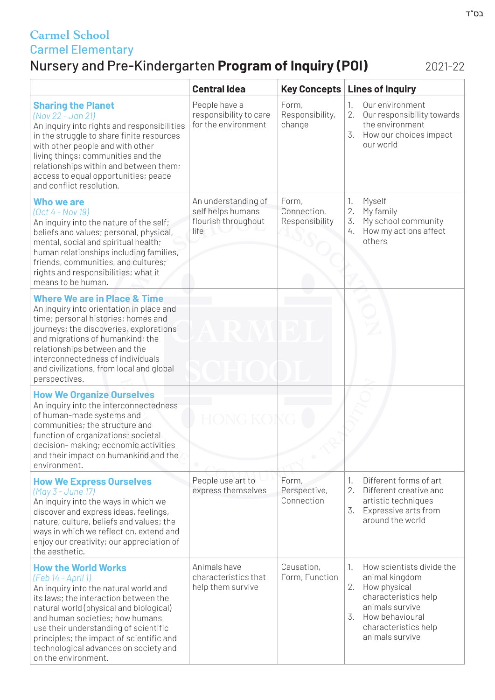### Nursery and Pre-Kindergarten **Program of Inquiry (POI)** 2021-22

|                                                                                                                                                                                                                                                                                                                                                                       | <b>Central Idea</b>                                                     | <b>Key Concepts</b>                    | <b>Lines of Inquiry</b>                                                                                                                                                                |
|-----------------------------------------------------------------------------------------------------------------------------------------------------------------------------------------------------------------------------------------------------------------------------------------------------------------------------------------------------------------------|-------------------------------------------------------------------------|----------------------------------------|----------------------------------------------------------------------------------------------------------------------------------------------------------------------------------------|
| <b>Sharing the Planet</b><br>(Nov 22 - Jan 21)<br>An inquiry into rights and responsibilities<br>in the struggle to share finite resources<br>with other people and with other<br>living things; communities and the<br>relationships within and between them;<br>access to equal opportunities; peace<br>and conflict resolution.                                    | People have a<br>responsibility to care<br>for the environment          | Form,<br>Responsibility,<br>change     | Our environment<br>1.<br>2.<br>Our responsibility towards<br>the environment<br>3.<br>How our choices impact<br>our world                                                              |
| <b>Who we are</b><br>$(Oct 4 - Nov 19)$<br>An inquiry into the nature of the self;<br>beliefs and values; personal, physical,<br>mental, social and spiritual health;<br>human relationships including families,<br>friends, communities, and cultures;<br>rights and responsibilities; what it<br>means to be human.                                                 | An understanding of<br>self helps humans<br>flourish throughout<br>life | Form,<br>Connection,<br>Responsibility | Myself<br>1.<br>2.<br>My family<br>3.<br>My school community<br>How my actions affect<br>4.<br>others                                                                                  |
| <b>Where We are in Place &amp; Time</b><br>An inquiry into orientation in place and<br>time; personal histories; homes and<br>journeys; the discoveries, explorations<br>and migrations of humankind; the<br>relationships between and the<br>interconnectedness of individuals<br>and civilizations, from local and global<br>perspectives.                          |                                                                         |                                        |                                                                                                                                                                                        |
| <b>How We Organize Ourselves</b><br>An inquiry into the interconnectedness<br>of human-made systems and<br>communities; the structure and<br>function of organizations; societal<br>decision-making; economic activities<br>and their impact on humankind and the<br>environment.                                                                                     | NG KOI                                                                  |                                        |                                                                                                                                                                                        |
| <b>How We Express Ourselves</b><br>(May 3 - June 17)<br>An inquiry into the ways in which we<br>discover and express ideas, feelings,<br>nature, culture, beliefs and values; the<br>ways in which we reflect on, extend and<br>enjoy our creativity; our appreciation of<br>the aesthetic.                                                                           | People use art to<br>express themselves                                 | Form,<br>Perspective,<br>Connection    | Different forms of art<br>1.<br>2.<br>Different creative and<br>artistic techniques<br>3.<br>Expressive arts from<br>around the world                                                  |
| <b>How the World Works</b><br>(Feb 14 - April 1)<br>An inquiry into the natural world and<br>its laws; the interaction between the<br>natural world (physical and biological)<br>and human societies; how humans<br>use their understanding of scientific<br>principles; the impact of scientific and<br>technological advances on society and<br>on the environment. | Animals have<br>characteristics that<br>help them survive               | Causation,<br>Form, Function           | How scientists divide the<br>1.<br>animal kingdom<br>How physical<br>2.<br>characteristics help<br>animals survive<br>How behavioural<br>3.<br>characteristics help<br>animals survive |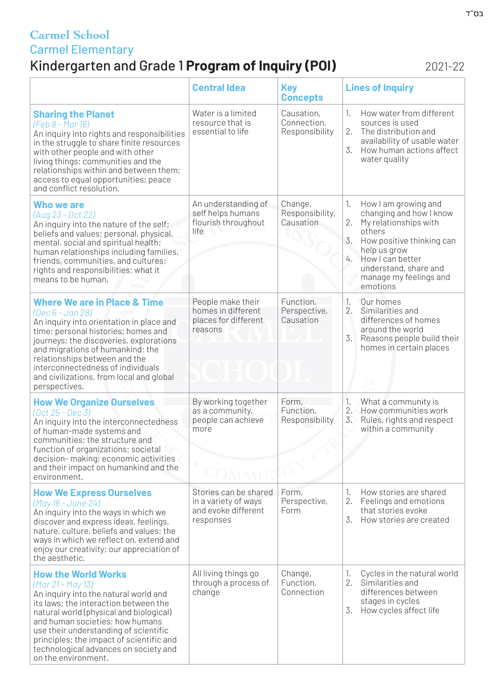# Kindergarten and Grade 1 **Program of Inquiry (POI)** 2021-22

|                                                                                                                                                                                                                                                                                                                                                                      | <b>Central Idea</b>                                                               | <b>Key</b><br><b>Concepts</b>               | <b>Lines of Inquiry</b>                                                                                                                                                                                                                    |
|----------------------------------------------------------------------------------------------------------------------------------------------------------------------------------------------------------------------------------------------------------------------------------------------------------------------------------------------------------------------|-----------------------------------------------------------------------------------|---------------------------------------------|--------------------------------------------------------------------------------------------------------------------------------------------------------------------------------------------------------------------------------------------|
| <b>Sharing the Planet</b><br>(Feb 8 - Mar 18)<br>An inquiry into rights and responsibilities<br>in the struggle to share finite resources<br>with other people and with other<br>living things; communities and the<br>relationships within and between them;<br>access to equal opportunities; peace<br>and conflict resolution.                                    | Water is a limited<br>resource that is<br>essential to life                       | Causation,<br>Connection,<br>Responsibility | How water from different<br>1.<br>sources is used<br>2.<br>The distribution and<br>availability of usable water<br>How human actions affect<br>3.<br>water quality                                                                         |
| <b>Who we are</b><br>(Aug 23 - Oct 22)<br>An inquiry into the nature of the self;<br>beliefs and values; personal, physical,<br>mental, social and spiritual health;<br>human relationships including families,<br>friends, communities, and cultures;<br>rights and responsibilities; what it<br>means to be human.                                                 | An understanding of<br>self helps humans<br>flourish throughout<br>life           | Change,<br>Responsibility,<br>Causation     | How I am growing and<br>1.<br>changing and how I know<br>2.<br>My relationships with<br>others<br>3.<br>How positive thinking can<br>help us grow<br>How I can better<br>4.<br>understand, share and<br>manage my feelings and<br>emotions |
| <b>Where We are in Place &amp; Time</b><br>(Dec 6 - Jan 28)<br>An inquiry into orientation in place and<br>time; personal histories; homes and<br>journeys; the discoveries, explorations<br>and migrations of humankind; the<br>relationships between and the<br>interconnectedness of individuals<br>and civilizations, from local and global<br>perspectives.     | People make their<br>homes in different<br>places for different<br>reasons        | Function,<br>Perspective,<br>Causation      | Our homes<br>1.<br>2.<br>Similarities and<br>differences of homes<br>around the world<br>3.<br>Reasons people build their<br>homes in certain places                                                                                       |
| <b>How We Organize Ourselves</b><br>$(Oct 25 - Dec 3)$<br>An inquiry into the interconnectedness<br>of human-made systems and<br>communities; the structure and<br>function of organizations; societal<br>decision-making; economic activities<br>and their impact on humankind and the<br>environment.                                                              | By working together<br>as a community,<br>people can achieve<br>more              | Form,<br>Function,<br>Responsibility        | 1.<br>What a community is<br>2.6<br>How communities work<br>3.<br>Rules, rights and respect<br>within a community                                                                                                                          |
| <b>How We Express Ourselves</b><br>(May 16 – June 24)<br>An inquiry into the ways in which we<br>discover and express ideas, feelings,<br>nature, culture, beliefs and values; the<br>ways in which we reflect on, extend and<br>enjoy our creativity; our appreciation of<br>the aesthetic.                                                                         | Stories can be shared<br>in a variety of ways<br>and evoke different<br>responses | Form,<br>Perspective,<br>Form               | How stories are shared<br>1.<br>2.<br>Feelings and emotions<br>that stories evoke<br>3.<br>How stories are created                                                                                                                         |
| <b>How the World Works</b><br>(Mar 21 - May 13)<br>An inquiry into the natural world and<br>its laws; the interaction between the<br>natural world (physical and biological)<br>and human societies; how humans<br>use their understanding of scientific<br>principles; the impact of scientific and<br>technological advances on society and<br>on the environment. | All living things go<br>through a process of<br>change                            | Change,<br>Function,<br>Connection          | Cycles in the natural world<br>Ί.<br>2.<br>Similarities and<br>differences between<br>stages in cycles<br>3.<br>How cycles affect life                                                                                                     |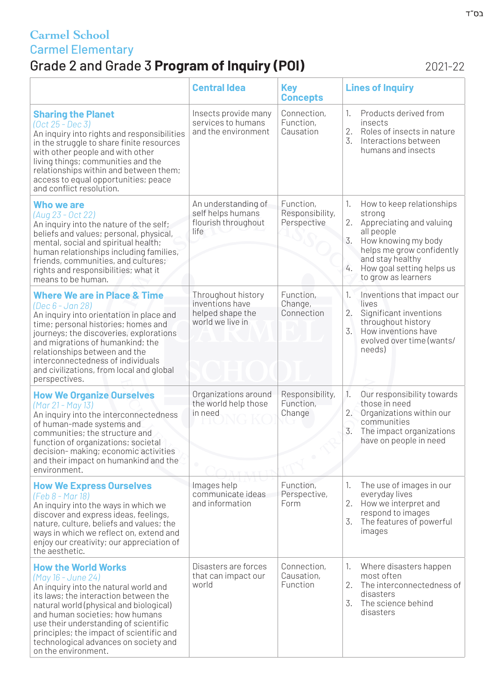# Grade 2 and Grade 3 **Program of Inquiry (POI)** 2021-22

|                                                                                                                                                                                                                                                                                                                                                                       | <b>Central Idea</b>                                                           | <b>Key</b><br><b>Concepts</b>               | <b>Lines of Inquiry</b>                                                                                                                                                                                                           |
|-----------------------------------------------------------------------------------------------------------------------------------------------------------------------------------------------------------------------------------------------------------------------------------------------------------------------------------------------------------------------|-------------------------------------------------------------------------------|---------------------------------------------|-----------------------------------------------------------------------------------------------------------------------------------------------------------------------------------------------------------------------------------|
| <b>Sharing the Planet</b><br>(Oct 25 - Dec 3)<br>An inquiry into rights and responsibilities<br>in the struggle to share finite resources<br>with other people and with other<br>living things; communities and the<br>relationships within and between them;<br>access to equal opportunities; peace<br>and conflict resolution.                                     | Insects provide many<br>services to humans<br>and the environment             | Connection,<br>Function,<br>Causation       | Products derived from<br>1.<br>insects<br>2.<br>Roles of insects in nature<br>3.<br>Interactions between<br>humans and insects                                                                                                    |
| <b>Who we are</b><br>(Aug 23 - Oct 22)<br>An inquiry into the nature of the self;<br>beliefs and values; personal, physical,<br>mental, social and spiritual health;<br>human relationships including families,<br>friends, communities, and cultures;<br>rights and responsibilities; what it<br>means to be human.                                                  | An understanding of<br>self helps humans<br>flourish throughout<br>life       | Function,<br>Responsibility,<br>Perspective | How to keep relationships<br>1.<br>strong<br>2.<br>Appreciating and valuing<br>all people<br>3.<br>How knowing my body<br>helps me grow confidently<br>and stay healthy<br>4.<br>How goal setting helps us<br>to grow as learners |
| <b>Where We are in Place &amp; Time</b><br>(Dec 6 - Jan 28)<br>An inquiry into orientation in place and<br>time; personal histories; homes and<br>journeys; the discoveries, explorations<br>and migrations of humankind; the<br>relationships between and the<br>interconnectedness of individuals<br>and civilizations, from local and global<br>perspectives.      | Throughout history<br>inventions have<br>helped shape the<br>world we live in | Function,<br>Change,<br>Connection          | Inventions that impact our<br>1.<br>lives<br>2.<br>Significant inventions<br>throughout history<br>How inventions have<br>3.<br>evolved over time (wants/<br>needs)                                                               |
| <b>How We Organize Ourselves</b><br>(Mar 21 - May 13)<br>An inquiry into the interconnectedness<br>of human-made systems and<br>communities; the structure and<br>function of organizations; societal<br>decision-making; economic activities<br>and their impact on humankind and the<br>environment.                                                                | Organizations around<br>the world help those<br>in need                       | Responsibility,<br>Function,<br>Change      | Our responsibility towards<br>1.<br>those in need<br>2.<br>Organizations within our<br>communities<br>3.<br>The impact organizations<br>have on people in need                                                                    |
| <b>How We Express Ourselves</b><br>(Feb 8 - Mar 18)<br>An inquiry into the ways in which we<br>discover and express ideas, feelings,<br>nature, culture, beliefs and values; the<br>ways in which we reflect on, extend and<br>enjoy our creativity; our appreciation of<br>the aesthetic.                                                                            | Images help<br>communicate ideas<br>and information                           | Function,<br>Perspective,<br>Form           | The use of images in our<br>1.<br>everyday lives<br>2.<br>How we interpret and<br>respond to images<br>3.<br>The features of powerful<br>images                                                                                   |
| <b>How the World Works</b><br>(May 16 - June 24)<br>An inquiry into the natural world and<br>its laws; the interaction between the<br>natural world (physical and biological)<br>and human societies; how humans<br>use their understanding of scientific<br>principles; the impact of scientific and<br>technological advances on society and<br>on the environment. | Disasters are forces<br>that can impact our<br>world                          | Connection,<br>Causation,<br>Function       | Where disasters happen<br>1.<br>most often<br>2.<br>The interconnectedness of<br>disasters<br>$\overline{3}$ .<br>The science behind<br>disasters                                                                                 |